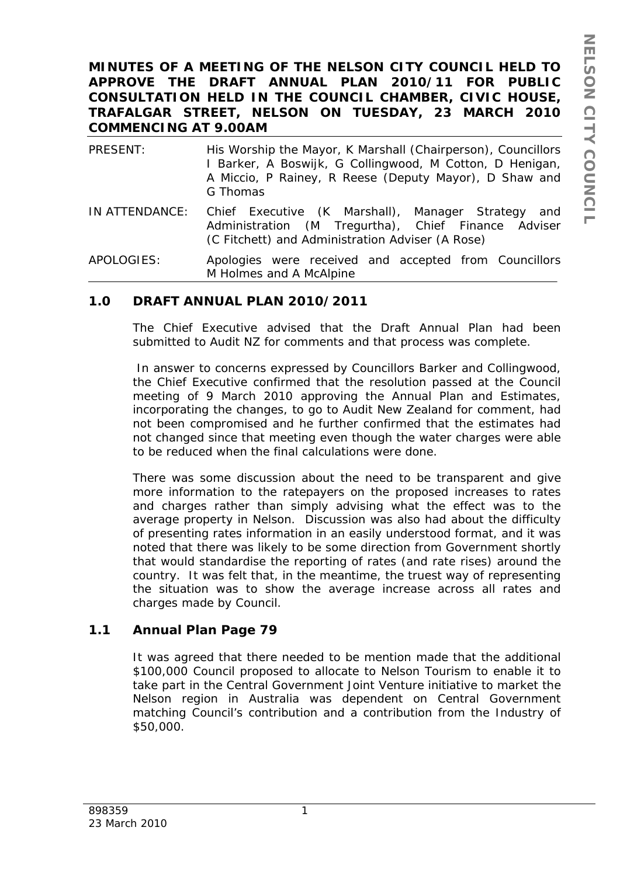## **MINUTES OF A MEETING OF THE NELSON CITY COUNCIL HELD TO APPROVE THE DRAFT ANNUAL PLAN 2010/11 FOR PUBLIC CONSULTATION HELD IN THE COUNCIL CHAMBER, CIVIC HOUSE, TRAFALGAR STREET, NELSON ON TUESDAY, 23 MARCH 2010 COMMENCING AT 9.00AM**

| PRESENT:       | His Worship the Mayor, K Marshall (Chairperson), Councillors<br>I Barker, A Boswijk, G Collingwood, M Cotton, D Henigan,<br>A Miccio, P Rainey, R Reese (Deputy Mayor), D Shaw and<br>G Thomas |
|----------------|------------------------------------------------------------------------------------------------------------------------------------------------------------------------------------------------|
| IN ATTENDANCE: | Chief Executive (K Marshall), Manager Strategy<br>and<br>Administration (M Tregurtha), Chief Finance Adviser<br>(C Fitchett) and Administration Adviser (A Rose)                               |
| APOLOGIES:     | Apologies were received and accepted from Councillors                                                                                                                                          |

### **1.0 DRAFT ANNUAL PLAN 2010/2011**

M Holmes and A McAlpine

The Chief Executive advised that the Draft Annual Plan had been submitted to Audit NZ for comments and that process was complete.

 In answer to concerns expressed by Councillors Barker and Collingwood, the Chief Executive confirmed that the resolution passed at the Council meeting of 9 March 2010 approving the Annual Plan and Estimates, incorporating the changes, to go to Audit New Zealand for comment, had not been compromised and he further confirmed that the estimates had not changed since that meeting even though the water charges were able to be reduced when the final calculations were done.

There was some discussion about the need to be transparent and give more information to the ratepayers on the proposed increases to rates and charges rather than simply advising what the effect was to the average property in Nelson. Discussion was also had about the difficulty of presenting rates information in an easily understood format, and it was noted that there was likely to be some direction from Government shortly that would standardise the reporting of rates (and rate rises) around the country. It was felt that, in the meantime, the truest way of representing the situation was to show the average increase across all rates and charges made by Council.

# **1.1 Annual Plan Page 79**

It was agreed that there needed to be mention made that the additional \$100,000 Council proposed to allocate to Nelson Tourism to enable it to take part in the Central Government Joint Venture initiative to market the Nelson region in Australia was dependent on Central Government matching Council's contribution and a contribution from the Industry of \$50,000.